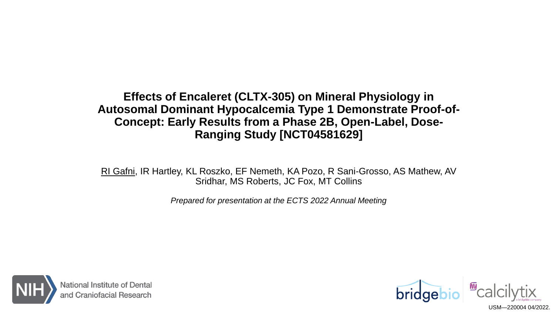#### **Effects of Encaleret (CLTX-305) on Mineral Physiology in Autosomal Dominant Hypocalcemia Type 1 Demonstrate Proof-of-Concept: Early Results from a Phase 2B, Open-Label, Dose-Ranging Study [NCT04581629]**

RI Gafni, IR Hartley, KL Roszko, EF Nemeth, KA Pozo, R Sani-Grosso, AS Mathew, AV Sridhar, MS Roberts, JC Fox, MT Collins

*Prepared for presentation at the ECTS 2022 Annual Meeting*



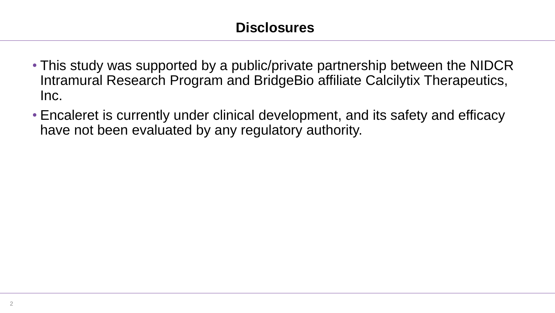- This study was supported by a public/private partnership between the NIDCR Intramural Research Program and BridgeBio affiliate Calcilytix Therapeutics, Inc.
- Encaleret is currently under clinical development, and its safety and efficacy have not been evaluated by any regulatory authority.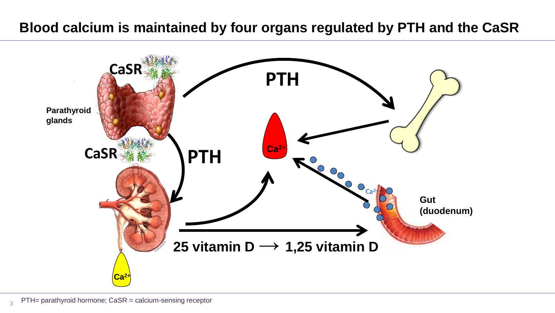### **Blood calcium is maintained by four organs regulated by PTH and the CaSR**

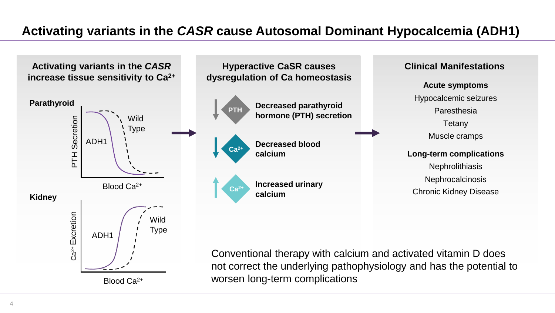### **Activating variants in the** *CASR* **cause Autosomal Dominant Hypocalcemia (ADH1)**



not correct the underlying pathophysiology and has the potential to worsen long-term complications

Blood Ca2+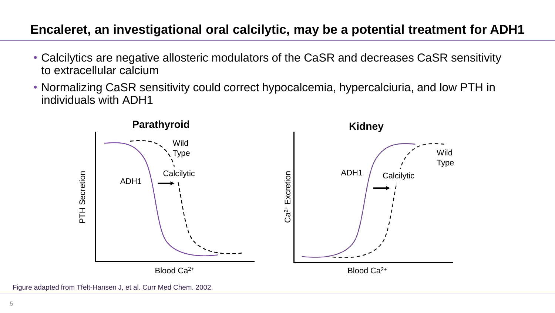### **Encaleret, an investigational oral calcilytic, may be a potential treatment for ADH1**

- Calcilytics are negative allosteric modulators of the CaSR and decreases CaSR sensitivity to extracellular calcium
- Normalizing CaSR sensitivity could correct hypocalcemia, hypercalciuria, and low PTH in individuals with ADH1



Figure adapted from Tfelt-Hansen J, et al. Curr Med Chem. 2002.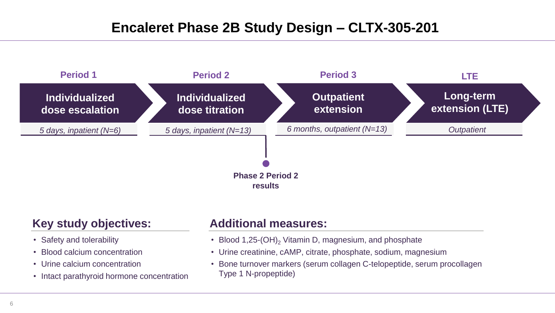# **Encaleret Phase 2B Study Design – CLTX-305-201**



#### **Key study objectives:**

- Safety and tolerability
- Blood calcium concentration
- Urine calcium concentration
- Intact parathyroid hormone concentration

#### **Additional measures:**

- Blood 1,25-(OH)<sub>2</sub> Vitamin D, magnesium, and phosphate
- Urine creatinine, cAMP, citrate, phosphate, sodium, magnesium
- Bone turnover markers (serum collagen C-telopeptide, serum procollagen Type 1 N-propeptide)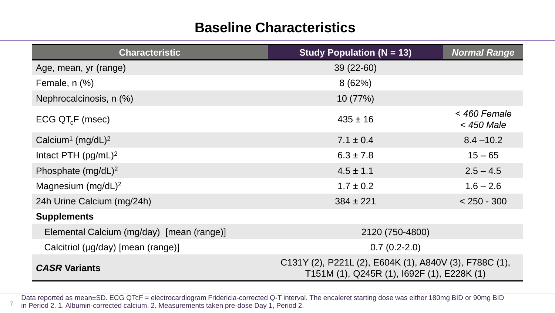# **Baseline Characteristics**

| <b>Characteristic</b>                     | Study Population ( $N = 13$ )                                                                        | <b>Normal Range</b>          |
|-------------------------------------------|------------------------------------------------------------------------------------------------------|------------------------------|
| Age, mean, yr (range)                     | $39(22-60)$                                                                                          |                              |
| Female, $n$ $%$ )                         | 8(62%)                                                                                               |                              |
| Nephrocalcinosis, n (%)                   | 10(77%)                                                                                              |                              |
| $ECG$ QT <sub>c</sub> F (msec)            | $435 \pm 16$                                                                                         | < 460 Female<br>$<$ 450 Male |
| Calcium <sup>1</sup> (mg/dL) <sup>2</sup> | $7.1 \pm 0.4$                                                                                        | $8.4 - 10.2$                 |
| Intact PTH $(pg/mL)^2$                    | $6.3 \pm 7.8$                                                                                        | $15 - 65$                    |
| Phosphate $(mg/dL)^2$                     | $4.5 \pm 1.1$                                                                                        | $2.5 - 4.5$                  |
| Magnesium $(mg/dL)^2$                     | $1.7 \pm 0.2$                                                                                        | $1.6 - 2.6$                  |
| 24h Urine Calcium (mg/24h)                | $384 \pm 221$                                                                                        | $< 250 - 300$                |
| <b>Supplements</b>                        |                                                                                                      |                              |
| Elemental Calcium (mg/day) [mean (range)] | 2120 (750-4800)                                                                                      |                              |
| Calcitriol (µg/day) [mean (range)]        | $0.7(0.2-2.0)$                                                                                       |                              |
| <b>CASR Variants</b>                      | C131Y (2), P221L (2), E604K (1), A840V (3), F788C (1),<br>T151M (1), Q245R (1), I692F (1), E228K (1) |                              |

Data reported as mean±SD. ECG QTcF = electrocardiogram Fridericia-corrected Q-T interval. The encaleret starting dose was either 180mg BID or 90mg BID in Period 2. 1. Albumin-corrected calcium. 2. Measurements taken pre-dose Day 1, Period 2.

7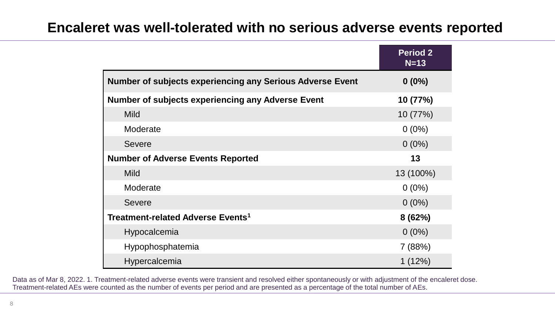## **Encaleret was well-tolerated with no serious adverse events reported**

|                                                                  | <b>Period 2</b><br>$N=13$ |
|------------------------------------------------------------------|---------------------------|
| <b>Number of subjects experiencing any Serious Adverse Event</b> | $0(0\%)$                  |
| <b>Number of subjects experiencing any Adverse Event</b>         | 10 (77%)                  |
| <b>Mild</b>                                                      | 10(77%)                   |
| Moderate                                                         | $0(0\%)$                  |
| <b>Severe</b>                                                    | $0(0\%)$                  |
| <b>Number of Adverse Events Reported</b>                         | 13                        |
| <b>Mild</b>                                                      | 13 (100%)                 |
| Moderate                                                         | $0(0\%)$                  |
| <b>Severe</b>                                                    | $0(0\%)$                  |
| Treatment-related Adverse Events <sup>1</sup>                    | 8 (62%)                   |
| Hypocalcemia                                                     | $0(0\%)$                  |
| Hypophosphatemia                                                 | 7 (88%)                   |
| Hypercalcemia                                                    | 1(12%)                    |

Data as of Mar 8, 2022. 1. Treatment-related adverse events were transient and resolved either spontaneously or with adjustment of the encaleret dose. Treatment-related AEs were counted as the number of events per period and are presented as a percentage of the total number of AEs.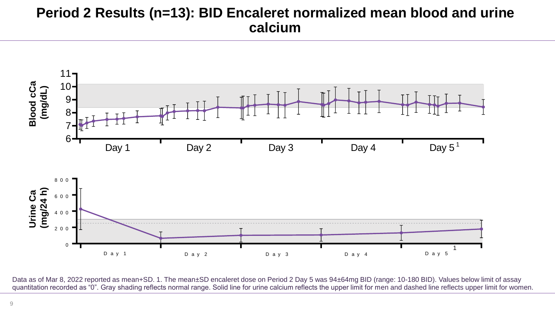## **Period 2 Results (n=13): BID Encaleret normalized mean blood and urine calcium**



Data as of Mar 8, 2022 reported as mean+SD. 1. The mean±SD encaleret dose on Period 2 Day 5 was 94±64mg BID (range: 10-180 BID). Values below limit of assay quantitation recorded as "0". Gray shading reflects normal range. Solid line for urine calcium reflects the upper limit for men and dashed line reflects upper limit for women.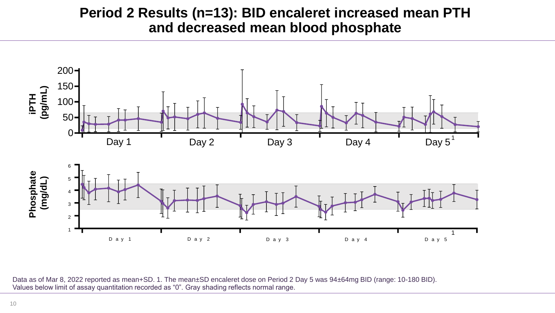## **Period 2 Results (n=13): BID encaleret increased mean PTH and decreased mean blood phosphate**



Data as of Mar 8, 2022 reported as mean+SD. 1. The mean±SD encaleret dose on Period 2 Day 5 was 94±64mg BID (range: 10-180 BID). Values below limit of assay quantitation recorded as "0". Gray shading reflects normal range.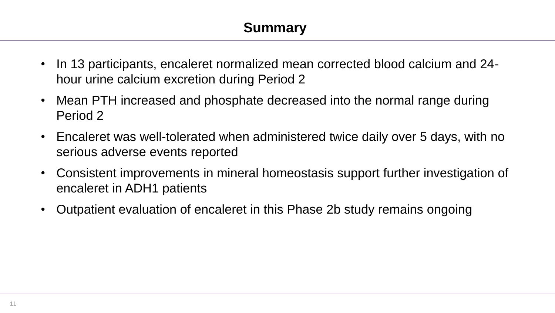- In 13 participants, encaleret normalized mean corrected blood calcium and 24 hour urine calcium excretion during Period 2
- Mean PTH increased and phosphate decreased into the normal range during Period 2
- Encaleret was well-tolerated when administered twice daily over 5 days, with no serious adverse events reported
- Consistent improvements in mineral homeostasis support further investigation of encaleret in ADH1 patients
- Outpatient evaluation of encaleret in this Phase 2b study remains ongoing